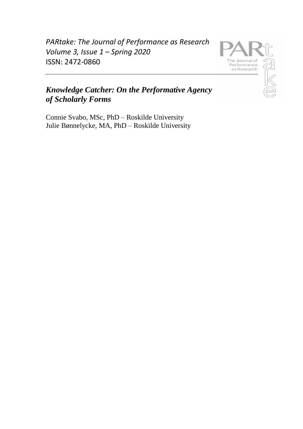*PARtake: The Journal of Performance as Research Volume 3, Issue 1 – Spring 2020*  ISSN: 2472-0860



# *Knowledge Catcher: On the Performative Agency of Scholarly Forms*

Connie Svabo, MSc, PhD – Roskilde University Julie Bønnelycke, MA, PhD – Roskilde University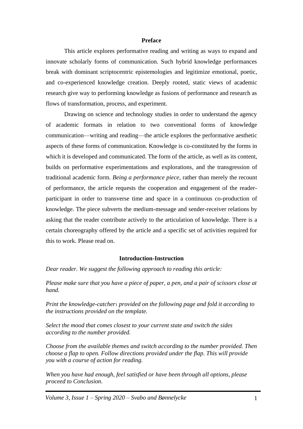#### **Preface**

This article explores performative reading and writing as ways to expand and innovate scholarly forms of communication. Such hybrid knowledge performances break with dominant scriptocentric epistemologies and legitimize emotional, poetic, and co-experienced knowledge creation. Deeply rooted, static views of academic research give way to performing knowledge as fusions of performance and research as flows of transformation, process, and experiment.

Drawing on science and technology studies in order to understand the agency of academic formats in relation to two conventional forms of knowledge communication—writing and reading—the article explores the performative aesthetic aspects of these forms of communication. Knowledge is co-constituted by the forms in which it is developed and communicated. The form of the article, as well as its content, builds on performative experimentations and explorations, and the transgression of traditional academic form. *Being a performance piece,* rather than merely the recount of performance, the article requests the cooperation and engagement of the readerparticipant in order to transverse time and space in a continuous co-production of knowledge. The piece subverts the medium-message and sender-receiver relations by asking that the reader contribute actively to the articulation of knowledge. There is a certain choreography offered by the article and a specific set of activities required for this to work. Please read on.

#### **Introduction-Instruction**

*Dear reader. We suggest the following approach to reading this article:*

*Please make sure that you have a piece of paper, a pen, and a pair of scissors close at hand.*

*Print the knowledge-catcher*<sup>1</sup> *provided on the following page and fold it according to the instructions provided on the template.*

*Select the mood that comes closest to your current state and switch the sides according to the number provided.* 

*Choose from the available themes and switch according to the number provided. Then choose a flap to open. Follow directions provided under the flap. This will provide you with a course of action for reading.*

*When you have had enough, feel satisfied or have been through all options, please proceed to Conclusion.*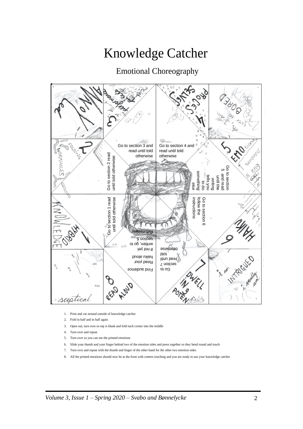# Knowledge Catcher

# Emotional Choreography



- 1. Print and cut around outside of knowledge catcher
- 2. Fold in half and in half again
- 3. Open out, turn over so top is blank and fold each corner into the middle
- 4. Turn over and repeat
- 5. Turn over so you can see the printed emotions
- 6. Slide your thumb and your finger behind two of the emotion sides and press together so they bend round and touch
- 7. Turn over and repeat with the thumb and finger of the other hand for the other two emotion sides
- 8. All the printed emotions should now be at the front with centres touching and you are ready to use your knowledge catcher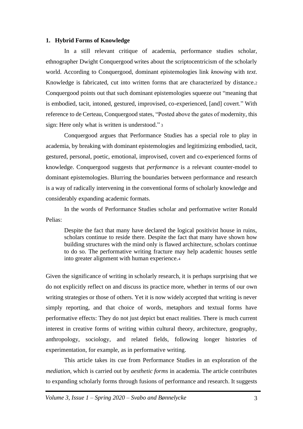#### **1. Hybrid Forms of Knowledge**

In a still relevant critique of academia, performance studies scholar, ethnographer Dwight Conquergood writes about the scriptocentricism of the scholarly world. According to Conquergood, dominant epistemologies link *knowing* with *text*. Knowledge is fabricated, cut into written forms that are characterized by distance.<sup>2</sup> Conquergood points out that such dominant epistemologies squeeze out "meaning that is embodied, tacit, intoned, gestured, improvised, co-experienced, [and] covert." With reference to de Certeau, Conquergood states, "Posted above the gates of modernity, this sign: Here only what is written is understood." 3

Conquergood argues that Performance Studies has a special role to play in academia, by breaking with dominant epistemologies and legitimizing embodied, tacit, gestured, personal, poetic, emotional, improvised, covert and co-experienced forms of knowledge. Conquergood suggests that *performance* is a relevant counter-model to dominant epistemologies. Blurring the boundaries between performance and research is a way of radically intervening in the conventional forms of scholarly knowledge and considerably expanding academic formats.

In the words of Performance Studies scholar and performative writer Ronald Pelias:

Despite the fact that many have declared the logical positivist house in ruins, scholars continue to reside there. Despite the fact that many have shown how building structures with the mind only is flawed architecture, scholars continue to do so. The performative writing fracture may help academic houses settle into greater alignment with human experience.<sup>4</sup>

Given the significance of writing in scholarly research, it is perhaps surprising that we do not explicitly reflect on and discuss its practice more, whether in terms of our own writing strategies or those of others. Yet it is now widely accepted that writing is never simply reporting, and that choice of words, metaphors and textual forms have performative effects: They do not just depict but enact realities. There is much current interest in creative forms of writing within cultural theory, architecture, geography, anthropology, sociology, and related fields, following longer histories of experimentation, for example, as in performative writing.

This article takes its cue from Performance Studies in an exploration of the *mediation,* which is carried out by *aesthetic forms* in academia. The article contributes to expanding scholarly forms through fusions of performance and research. It suggests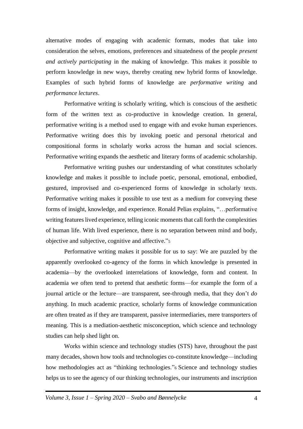alternative modes of engaging with academic formats, modes that take into consideration the selves, emotions, preferences and situatedness of the people *present and actively participating* in the making of knowledge. This makes it possible to perform knowledge in new ways, thereby creating new hybrid forms of knowledge. Examples of such hybrid forms of knowledge are *performative writing* and *performance lectures*.

Performative writing is scholarly writing, which is conscious of the aesthetic form of the written text as co-productive in knowledge creation. In general, performative writing is a method used to engage with and evoke human experiences. Performative writing does this by invoking poetic and personal rhetorical and compositional forms in scholarly works across the human and social sciences. Performative writing expands the aesthetic and literary forms of academic scholarship.

Performative writing pushes our understanding of what constitutes scholarly knowledge and makes it possible to include poetic, personal, emotional, embodied, gestured, improvised and co-experienced forms of knowledge in scholarly texts. Performative writing makes it possible to use text as a medium for conveying these forms of insight, knowledge, and experience. Ronald Pelias explains, "…performative writing features lived experience, telling iconic moments that call forth the complexities of human life. With lived experience, there is no separation between mind and body, objective and subjective, cognitive and affective."<sup>5</sup>

Performative writing makes it possible for us to say: We are puzzled by the apparently overlooked co-agency of the forms in which knowledge is presented in academia—by the overlooked interrelations of knowledge, form and content. In academia we often tend to pretend that aesthetic forms—for example the form of a journal article or the lecture—are transparent, see-through media, that they don't *do* anything. In much academic practice, scholarly forms of knowledge communication are often treated as if they are transparent, passive intermediaries, mere transporters of meaning. This is a mediation-aesthetic misconception, which science and technology studies can help shed light on.

Works within science and technology studies (STS) have, throughout the past many decades, shown how tools and technologies co-constitute knowledge—including how methodologies act as "thinking technologies."<sup>6</sup> Science and technology studies helps us to see the agency of our thinking technologies, our instruments and inscription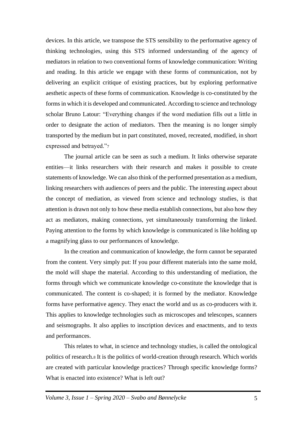devices. In this article, we transpose the STS sensibility to the performative agency of thinking technologies, using this STS informed understanding of the agency of mediators in relation to two conventional forms of knowledge communication: Writing and reading. In this article we engage with these forms of communication, not by delivering an explicit critique of existing practices, but by exploring performative aesthetic aspects of these forms of communication. Knowledge is co-constituted by the forms in which it is developed and communicated. According to science and technology scholar Bruno Latour: "Everything changes if the word mediation fills out a little in order to designate the action of mediators. Then the meaning is no longer simply transported by the medium but in part constituted, moved, recreated, modified, in short expressed and betrayed."<sup>7</sup>

The journal article can be seen as such a medium. It links otherwise separate entities—it links researchers with their research and makes it possible to create statements of knowledge. We can also think of the performed presentation as a medium, linking researchers with audiences of peers and the public. The interesting aspect about the concept of mediation, as viewed from science and technology studies, is that attention is drawn not only to how these media establish connections, but also how they act as mediators, making connections, yet simultaneously transforming the linked. Paying attention to the forms by which knowledge is communicated is like holding up a magnifying glass to our performances of knowledge.

In the creation and communication of knowledge, the form cannot be separated from the content. Very simply put: If you pour different materials into the same mold, the mold will shape the material. According to this understanding of mediation, the forms through which we communicate knowledge co-constitute the knowledge that is communicated. The content is co-shaped; it is formed by the mediator. Knowledge forms have performative agency. They enact the world and us as co-producers with it. This applies to knowledge technologies such as microscopes and telescopes, scanners and seismographs. It also applies to inscription devices and enactments, and to texts and performances.

This relates to what, in science and technology studies, is called the ontological politics of research.<sup>8</sup> It is the politics of world-creation through research. Which worlds are created with particular knowledge practices? Through specific knowledge forms? What is enacted into existence? What is left out?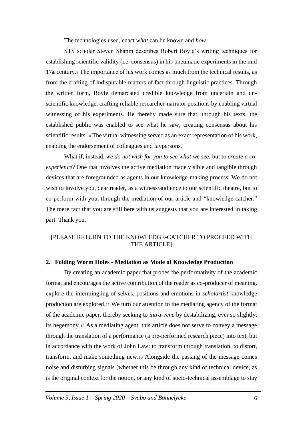The technologies used, enact *what* can be known and *how.* 

STS scholar Steven Shapin describes Robert Boyle's writing techniques for establishing scientific validity (i.e. consensus) in his pneumatic experiments in the mid 17th century.<sup>9</sup> The importance of his work comes as much from the technical results, as from the crafting of indisputable matters of fact through linguistic practices. Through the written form, Boyle demarcated credible knowledge from uncertain and unscientific knowledge, crafting reliable researcher-narrator positions by enabling virtual witnessing of his experiments. He thereby made sure that, through his texts, the established public was enabled to see what he saw, creating consensus about his scientific results.<sup>10</sup> The virtual witnessing served as an exact representation of his work, enabling the endorsement of colleagues and laypersons.

What if, instead, *we do not wish for you to see what we see*, but to *create a coexperience*? One that involves the active mediation made visible and tangible through devices that are foregrounded as agents in our knowledge-making process. We do not wish to involve you, dear reader, as a witness/audience to our scientific theatre, but to co-perform with you, through the mediation of our article and "knowledge-catcher." The mere fact that you are still here with us suggests that you are interested in taking part. Thank you.

## [PLEASE RETURN TO THE KNOWLEDGE-CATCHER TO PROCEED WITH THE ARTICLE]

#### **2. Folding Worm Holes - Mediation as Mode of Knowledge Production**

By creating an academic paper that probes the performativity of the academic format and encourages the active contribution of the reader as co-producer of meaning, explore the intermingling of selves, positions and emotions in *scholartist* knowledge production are explored.<sup>11</sup> We turn our attention to the mediating agency of the format of the academic paper, thereby seeking to *intra-vene* by destabilizing, ever so slightly, its hegemony.<sup>12</sup> As a mediating agent, this article does not serve to convey a message through the translation of a performance (a pre-performed research piece) into text, but in accordance with the work of John Law: to transform through translation, to distort, transform, and make something new.<sup>13</sup> Alongside the passing of the message comes noise and disturbing signals (whether this be through any kind of technical device, as is the original context for the notion, or any kind of socio-technical assemblage to stay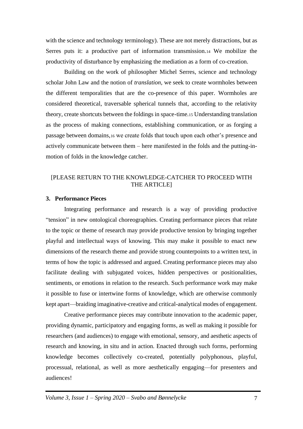with the science and technology terminology). These are not merely distractions, but as Serres puts it: a productive part of information transmission.<sup>14</sup> We mobilize the productivity of disturbance by emphasizing the mediation as a form of co-creation.

Building on the work of philosopher Michel Serres, science and technology scholar John Law and the notion of *translation*, we seek to create wormholes between the different temporalities that are the co-presence of this paper. Wormholes are considered theoretical, traversable spherical tunnels that, according to the relativity theory, create shortcuts between the foldings in space-time.<sup>15</sup> Understanding translation as the process of making connections, establishing communication, or as forging a passage between domains,<sup>16</sup> we create folds that touch upon each other's presence and actively communicate between them – here manifested in the folds and the putting-inmotion of folds in the knowledge catcher.

## [PLEASE RETURN TO THE KNOWLEDGE-CATCHER TO PROCEED WITH THE ARTICLE]

#### **3. Performance Pieces**

Integrating performance and research is a way of providing productive "tension" in new ontological choreographies. Creating performance pieces that relate to the topic or theme of research may provide productive tension by bringing together playful and intellectual ways of knowing. This may make it possible to enact new dimensions of the research theme and provide strong counterpoints to a written text, in terms of how the topic is addressed and argued. Creating performance pieces may also facilitate dealing with subjugated voices, hidden perspectives or positionalities, sentiments, or emotions in relation to the research. Such performance work may make it possible to fuse or intertwine forms of knowledge, which are otherwise commonly kept apart—braiding imaginative-creative and critical-analytical modes of engagement.

Creative performance pieces may contribute innovation to the academic paper, providing dynamic, participatory and engaging forms, as well as making it possible for researchers (and audiences) to engage with emotional, sensory, and aesthetic aspects of research and knowing, in situ and in action. Enacted through such forms, performing knowledge becomes collectively co-created, potentially polyphonous, playful, processual, relational, as well as more aesthetically engaging—for presenters and audiences!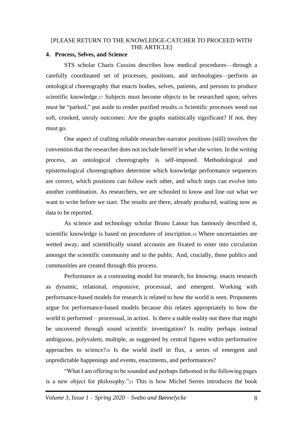#### [PLEASE RETURN TO THE KNOWLEDGE-CATCHER TO PROCEED WITH THE ARTICLEI

#### **4. Process, Selves, and Science**

STS scholar Charis Cussins describes how medical procedures—through a carefully coordinated set of processes, positions, and technologies—perform an ontological choreography that enacts bodies, selves, patients, and persons to produce scientific knowledge.<sup>17</sup> Subjects must become objects to be researched upon; selves must be "parked," put aside to render purified results.<sup>18</sup> Scientific processes weed out soft, crooked, unruly outcomes: Are the graphs statistically significant? If not, they must go.

One aspect of crafting reliable researcher-narrator positions (still) involves the convention that the researcher does not include herself in what she writes. In the writing process, an ontological choreography is self-imposed. Methodological and epistemological choreographies determine which knowledge performance sequences are correct, which positions can follow each other, and which steps can evolve into another combination. As researchers, we are schooled to know and line out what we want to write before we start. The results are there, already produced, waiting now as data to be reported.

As science and technology scholar Bruno Latour has famously described it, scientific knowledge is based on procedures of inscription.<sup>19</sup> Where uncertainties are wetted away, and scientifically sound accounts are fixated to enter into circulation amongst the scientific community and to the public. And, crucially, these publics and communities are created through this process.

Performance as a contrasting model for research, for *knowing,* enacts research as dynamic, relational, responsive, processual, and emergent. Working with performance-based models for research is related to how the world is seen. Proponents argue for performance-based models because this relates appropriately to how the world is performed – processual, in action. Is there a stable reality out there that might be uncovered through sound scientific investigation? Is reality perhaps instead ambiguous, polyvalent, multiple, as suggested by central figures within performative approaches to science?<sup>20</sup> Is the world itself in flux, a series of emergent and unpredictable happenings and events, enactments, and performances?

"What I am offering to be sounded and perhaps fathomed in the following pages is a new object for philosophy."<sup>21</sup> This is how Michel Serres introduces the book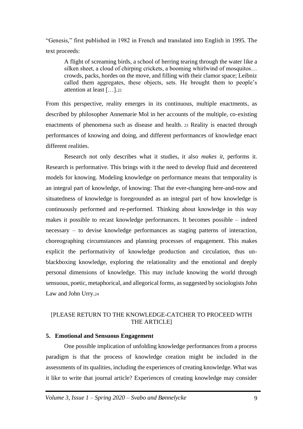"Genesis," first published in 1982 in French and translated into English in 1995. The text proceeds:

A flight of screaming birds, a school of herring tearing through the water like a silken sheet, a cloud of chirping crickets, a booming whirlwind of mosquitos… crowds, packs, hordes on the move, and filling with their clamor space; Leibniz called them aggregates, these objects, sets. He brought them to people's attention at least […].<sup>22</sup>

From this perspective, reality emerges in its continuous, multiple enactments, as described by philosopher Annemarie Mol in her accounts of the multiple, co-existing enactments of phenomena such as disease and health. <sup>23</sup> Reality is enacted through performances of knowing and doing, and different performances of knowledge enact different realities.

Research not only describes what it studies, it also *makes it*, performs it. Research is performative. This brings with it the need to develop fluid and decentered models for knowing. Modeling knowledge on performance means that temporality is an integral part of knowledge, of knowing: That the ever-changing here-and-now and situatedness of knowledge is foregrounded as an integral part of how knowledge is continuously performed and re-performed. Thinking about knowledge in this way makes it possible to recast knowledge performances. It becomes possible – indeed necessary – to devise knowledge performances as staging patterns of interaction, choreographing circumstances and planning processes of engagement. This makes explicit the performativity of knowledge production and circulation, thus unblackboxing knowledge, exploring the relationality and the emotional and deeply personal dimensions of knowledge. This may include knowing the world through sensuous, poetic, metaphorical, and allegorical forms, as suggested by sociologists John Law and John Urry.<sup>24</sup>

## [PLEASE RETURN TO THE KNOWLEDGE-CATCHER TO PROCEED WITH THE ARTICLE]

#### **5. Emotional and Sensuous Engagement**

One possible implication of unfolding knowledge performances from a process paradigm is that the process of knowledge creation might be included in the assessments of its qualities, including the experiences of creating knowledge. What was it like to write that journal article? Experiences of creating knowledge may consider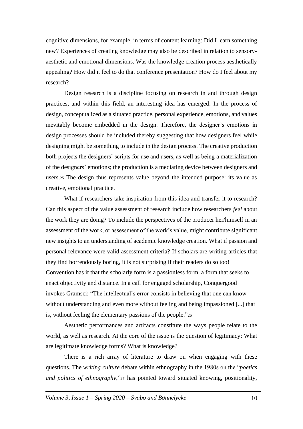cognitive dimensions, for example, in terms of content learning: Did I learn something new? Experiences of creating knowledge may also be described in relation to sensoryaesthetic and emotional dimensions. Was the knowledge creation process aesthetically appealing? How did it feel to do that conference presentation? How do I feel about my research?

Design research is a discipline focusing on research in and through design practices, and within this field, an interesting idea has emerged: In the process of design, conceptualized as a situated practice, personal experience, emotions, and values inevitably become embedded in the design. Therefore, the designer's emotions in design processes should be included thereby suggesting that how designers feel while designing might be something to include in the design process. The creative production both projects the designers' scripts for use and users, as well as being a materialization of the designers' emotions; the production is a mediating device between designers and users.<sup>25</sup> The design thus represents value beyond the intended purpose: its value as creative, emotional practice.

What if researchers take inspiration from this idea and transfer it to research? Can this aspect of the value assessment of research include how researchers *feel* about the work they are doing? To include the perspectives of the producer her/himself in an assessment of the work, or assessment of the work's value, might contribute significant new insights to an understanding of academic knowledge creation. What if passion and personal relevance were valid assessment criteria? If scholars are writing articles that they find horrendously boring, it is not surprising if their readers do so too! Convention has it that the scholarly form is a passionless form, a form that seeks to enact objectivity and distance. In a call for engaged scholarship, Conquergood invokes Gramsci: "The intellectual's error consists in believing that one can know without understanding and even more without feeling and being impassioned [...] that is, without feeling the elementary passions of the people."<sup>26</sup>

Aesthetic performances and artifacts constitute the ways people relate to the world, as well as research. At the core of the issue is the question of legitimacy: What are legitimate knowledge forms? What is knowledge?

There is a rich array of literature to draw on when engaging with these questions. The *writing culture* debate within ethnography in the 1980s on the "*poetics and politics of ethnography*,"<sup>27</sup> has pointed toward situated knowing, positionality,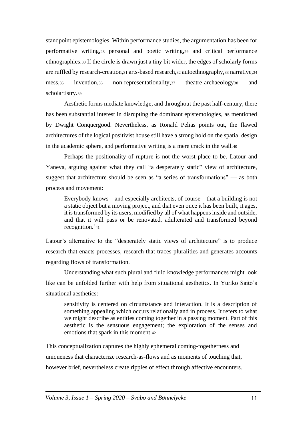standpoint epistemologies. Within performance studies, the argumentation has been for performative writing,<sup>28</sup> personal and poetic writing,<sup>29</sup> and critical performance ethnographies.<sup>30</sup> If the circle is drawn just a tiny bit wider, the edges of scholarly forms are ruffled by research-creation,<sup>31</sup> arts-based research,<sup>32</sup> autoethnography,<sup>33</sup> narrative,<sup>34</sup> mess,<sup>35</sup> invention,<sup>36</sup> non-representationality,<sup>37</sup> theatre-archaeology<sup>38</sup> and scholartistry.<sup>39</sup>

Aesthetic forms mediate knowledge, and throughout the past half-century, there has been substantial interest in disrupting the dominant epistemologies, as mentioned by Dwight Conquergood. Nevertheless, as Ronald Pelias points out, the flawed architectures of the logical positivist house still have a strong hold on the spatial design in the academic sphere, and performative writing is a mere crack in the wall.<sup>40</sup>

Perhaps the positionality of rupture is not the worst place to be. Latour and Yaneva, arguing against what they call "a desperately static" view of architecture, suggest that architecture should be seen as "a series of transformations" — as both process and movement:

Everybody knows—and especially architects, of course—that a building is not a static object but a moving project, and that even once it has been built, it ages, it is transformed by its users, modified by all of what happens inside and outside, and that it will pass or be renovated, adulterated and transformed beyond recognition.'<sup>41</sup>

Latour's alternative to the "desperately static views of architecture" is to produce research that enacts processes, research that traces pluralities and generates accounts regarding flows of transformation.

Understanding what such plural and fluid knowledge performances might look like can be unfolded further with help from situational aesthetics. In Yuriko Saito's situational aesthetics:

sensitivity is centered on circumstance and interaction. It is a description of something appealing which occurs relationally and in process. It refers to what we might describe as entities coming together in a passing moment. Part of this aesthetic is the sensuous engagement; the exploration of the senses and emotions that spark in this moment.<sup>42</sup>

This conceptualization captures the highly ephemeral coming-togetherness and uniqueness that characterize research-as-flows and as moments of touching that, however brief, nevertheless create ripples of effect through affective encounters.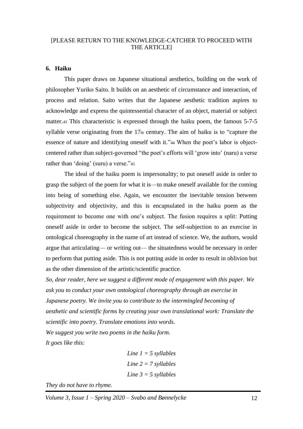#### [PLEASE RETURN TO THE KNOWLEDGE-CATCHER TO PROCEED WITH THE ARTICLEI

#### **6. Haiku**

This paper draws on Japanese situational aesthetics, building on the work of philosopher Yuriko Saito. It builds on an aesthetic of circumstance and interaction, of process and relation. Saito writes that the Japanese aesthetic tradition aspires to acknowledge and express the quintessential character of an object, material or subject matter.<sup>43</sup> This characteristic is expressed through the haiku poem, the famous 5-7-5 syllable verse originating from the 17th century. The aim of haiku is to "capture the essence of nature and identifying oneself with it."<sup>44</sup> When the poet's labor is objectcentered rather than subject-governed "the poet's efforts will 'grow into' (naru) a verse rather than 'doing' (suru) a verse."45

The ideal of the haiku poem is impersonality; to put oneself aside in order to grasp the subject of the poem for what it is—to make oneself available for the coming into being of something else. Again, we encounter the inevitable tension between subjectivity and objectivity, and this is encapsulated in the haiku poem as the requirement to become one with one's subject. The fusion requires a split: Putting oneself aside in order to become the subject. The self-subjection to an exercise in ontological choreography in the name of art instead of science. We, the authors, would argue that articulating— or writing out— the situatedness would be necessary in order to perform that putting aside. This is not putting aside in order to result in oblivion but as the other dimension of the artistic/scientific practice.

*So, dear reader, here we suggest a different mode of engagement with this paper. We ask you to conduct your own ontological choreography through an exercise in Japanese poetry. We invite you to contribute to the intermingled becoming of aesthetic and scientific forms by creating your own translational work: Translate the scientific into poetry. Translate emotions into words. We suggest you write two poems in the haiku form. It goes like this:* 

> *Line 1 = 5 syllables Line 2 = 7 syllables Line 3 = 5 syllables*

*They do not have to rhyme.*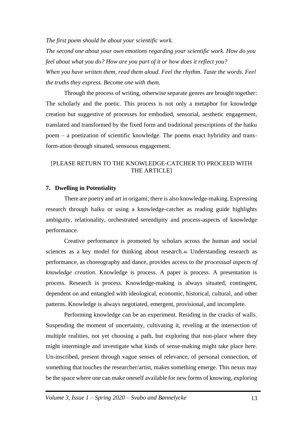*The first poem should be about your scientific work.*

*The second one about your own emotions regarding your scientific work. How do you feel about what you do? How are you part of it or how does it reflect you? When you have written them, read them aloud. Feel the rhythm. Taste the words. Feel the truths they express. Become one with them.* 

Through the process of writing, otherwise separate genres are brought together: The scholarly and the poetic. This process is not only a metaphor for knowledge creation but suggestive of processes for embodied, sensorial, aesthetic engagement, translated and transformed by the fixed form and traditional prescriptions of the haiku poem – a poetization of scientific knowledge. The poems enact hybridity and transform-ation through situated, sensuous engagement.

#### [PLEASE RETURN TO THE KNOWLEDGE-CATCHER TO PROCEED WITH THE ARTICLE]

#### **7. Dwelling in Potentiality**

There are poetry and art in origami; there is also knowledge-making. Expressing research through haiku or using a knowledge-catcher as reading guide highlights ambiguity, relationality, orchestrated serendipity and process-aspects of knowledge performance.

Creative performance is promoted by scholars across the human and social sciences as a key model for thinking about research.<sup>46</sup> Understanding research as performance, as choreography and dance, provides access to the *processual aspects of knowledge creation*. Knowledge is process. A paper is process. A presentation is process. Research is process. Knowledge-making is always situated, contingent, dependent on and entangled with ideological, economic, historical, cultural, and other patterns. Knowledge is always negotiated, emergent, provisional, and incomplete.

Performing knowledge can be an experiment. Residing in the cracks of walls. Suspending the moment of uncertainty, cultivating it, reveling at the intersection of multiple realities, not yet choosing a path, but exploring that non-place where they might intermingle and investigate what kinds of sense-making might take place here. Un-inscribed, present through vague senses of relevance, of personal connection, of something that touches the researcher/artist, makes something emerge. This nexus may be the space where one can make oneself available for new forms of knowing, exploring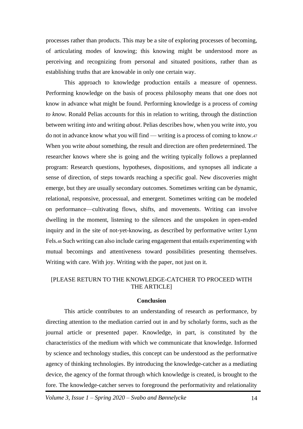processes rather than products. This may be a site of exploring processes of becoming, of articulating modes of knowing; this knowing might be understood more as perceiving and recognizing from personal and situated positions, rather than as establishing truths that are knowable in only one certain way.

This approach to knowledge production entails a measure of openness. Performing knowledge on the basis of process philosophy means that one does not know in advance what might be found. Performing knowledge is a process of *coming to know.* Ronald Pelias accounts for this in relation to writing, through the distinction between writing *into* and writing *about*. Pelias describes how, when you write *into,* you do not in advance know what you will find — writing is a process of coming to know.<sup>47</sup> When you write *about* something, the result and direction are often predetermined. The researcher knows where she is going and the writing typically follows a preplanned program: Research questions, hypotheses, dispositions, and synopses all indicate a sense of direction, of steps towards reaching a specific goal. New discoveries might emerge, but they are usually secondary outcomes. Sometimes writing can be dynamic, relational, responsive, processual, and emergent. Sometimes writing can be modeled on performance—cultivating flows, shifts, and movements. Writing can involve dwelling in the moment, listening to the silences and the unspoken in open-ended inquiry and in the site of not-yet-knowing, as described by performative writer Lynn Fels.<sup>48</sup> Such writing can also include caring engagement that entails experimenting with mutual becomings and attentiveness toward possibilities presenting themselves. Writing with care. With joy. Writing with the paper, not just on it.

#### [PLEASE RETURN TO THE KNOWLEDGE-CATCHER TO PROCEED WITH THE ARTICLE]

#### **Conclusion**

This article contributes to an understanding of research as performance, by directing attention to the mediation carried out in and by scholarly forms, such as the journal article or presented paper. Knowledge, in part, is constituted by the characteristics of the medium with which we communicate that knowledge. Informed by science and technology studies, this concept can be understood as the performative agency of thinking technologies. By introducing the knowledge-catcher as a mediating device, the agency of the format through which knowledge is created, is brought to the fore. The knowledge-catcher serves to foreground the performativity and relationality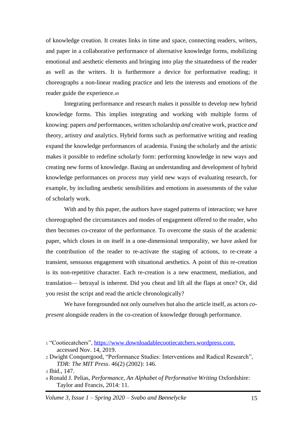of knowledge creation. It creates links in time and space, connecting readers, writers, and paper in a collaborative performance of alternative knowledge forms, mobilizing emotional and aesthetic elements and bringing into play the situatedness of the reader as well as the writers. It is furthermore a device for performative reading; it choreographs a non-linear reading practice and lets the interests and emotions of the reader guide the experience.<sup>49</sup>

Integrating performance and research makes it possible to develop new hybrid knowledge forms. This implies integrating and working with multiple forms of knowing: papers *and* performances, written scholarship *and* creative work, practice *and* theory, artistry *and* analytics. Hybrid forms such as performative writing and reading expand the knowledge performances of academia. Fusing the scholarly and the artistic makes it possible to redefine scholarly form: performing knowledge in new ways and creating new forms of knowledge. Basing an understanding and development of hybrid knowledge performances on *process* may yield new ways of evaluating research, for example, by including aesthetic sensibilities and emotions in assessments of the value of scholarly work.

With and by this paper, the authors have staged patterns of interaction; we have choreographed the circumstances and modes of engagement offered to the reader, who then becomes co-creator of the performance. To overcome the stasis of the academic paper, which closes in on itself in a one-dimensional temporality, we have asked for the contribution of the reader to re-activate the staging of actions, to re-create a transient, sensuous engagement with situational aesthetics. A point of this re-creation is its non-repetitive character. Each re-creation is a new enactment, mediation, and translation— betrayal is inherent. Did you cheat and lift all the flaps at once? Or, did you resist the script and read the article chronologically?

We have foregrounded not only ourselves but also the article itself, as actors *copresent* alongside readers in the co-creation of knowledge through performance.

<sup>1</sup> "Cootiecatchers", [https://www.downloadablecootiecatchers.wordpress.com,](https://www.downloadablecootiecatchers.wordpress.com/) accessed Nov. 14, 2019.

<sup>2</sup> Dwight Conquergood, "Performance Studies: Interventions and Radical Research", *TDR: The MIT Press*. 46(2) (2002): 146.

<sup>3</sup> Ibid., 147.

<sup>4</sup> Ronald J. Pelias, *Performance*, *An Alphabet of Performative Writing* Oxfordshire: Taylor and Francis, 2014: 11.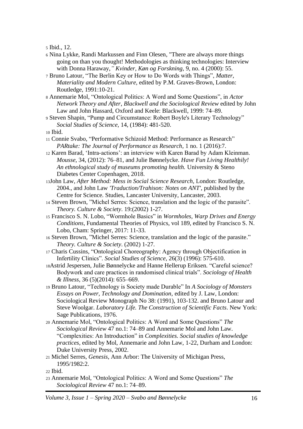<sup>5</sup> Ibid., 12.

- <sup>6</sup> Nina Lykke, Randi Markussen and Finn Olesen, "There are always more things going on than you thought! Methodologies as thinking technologies: Interview with Donna Haraway,*" Kvinder, Køn og Forskning*, 9, no. 4 (2000): 55.
- <sup>7</sup> Bruno Latour, "The Berlin Key or How to Do Words with Things", *Matter, Materiality and Modern Culture,* edited by P.M. Graves-Brown, London: Routledge, 1991:10-21.
- <sup>8</sup> Annemarie Mol, "Ontological Politics: A Word and Some Questions", in *Actor Network Theory and After*, *Blackwell and the Sociological Review* edited by John Law and John Hassard, Oxford and Keele: Blackwell, 1999: 74–89.

<sup>9</sup> Steven Shapin, "Pump and Circumstance: Robert Boyle's Literary Technology" *Social Studies of Science,* 14, (1984): 481-520.

<sup>10</sup> Ibid.

- <sup>11</sup> Connie Svabo, "Performative Schizoid Method: Performance as Research" *PARtake: The Journal of Performance as Research*, 1 no. 1 (2016):7.
- <sup>12</sup> Karen Barad, 'Intra-actions': an interview with Karen Barad by Adam Kleinman. *Mousse*, 34, (2012): 76–81, and Julie Bønnelycke. *Have Fun Living Healthily! An ethnological study of museums promoting health.* University & Steno Diabetes Center Copenhagen, 2018.
- <sup>13</sup>John Law, *After Method: Mess in Social Science Research,* London: Routledge, 2004., and John Law *'Traduction/Trahison: Notes on ANT'*, published by the Centre for Science. Studies, Lancaster University, Lancaster, 2003.
- <sup>14</sup> Steven Brown, "Michel Serres: Science, translation and the logic of the parasite". *Theory. Culture & Society*. 19:(2002) 1-27.
- <sup>15</sup> Francisco S. N. Lobo, "Wormhole Basics" in *Wormholes, Warp Drives and Energy Conditions*, Fundamental Theories of Physics, vol 189, edited by Francisco S. N. Lobo, Cham: Springer, 2017: 11-33.
- <sup>16</sup> Steven Brown, "Michel Serres: Science, translation and the logic of the parasite." *Theory. Culture & Society*. (2002) 1-27.
- <sup>17</sup> Charis Cussins, "Ontological Choreography: Agency through Objectification in Infertility Clinics". *Social Studies of Science*, 26(3) (1996): 575-610.
- <sup>18</sup>Astrid Jespersen, Julie Bønnelycke and Hanne Hellerup Eriksen. "Careful science? Bodywork and care practices in randomised clinical trials". *Sociology of Health & Illness,* 36 (5)(2014): 655–669.
- <sup>19</sup> Bruno Latour, "Technology is Society made Durable" In *A Sociology of Monsters Essays on Power, Technology and Domination*, edited by J. Law, London: Sociological Review Monograph No 38: (1991), 103-132. and Bruno Latour and Steve Woolgar. *Laboratory Life. The Construction of Scientific Facts*. New York: Sage Publications, 1976.
- <sup>20</sup> Annemarie Mol, "Ontological Politics: A Word and Some Questions" *The Sociological Review* 47 no.1: 74–89 and Annemarie Mol and John Law. "Complexities: An Introduction" in *Complexities. Social studies of knowledge practices,* edited by Mol, Annemarie and John Law, 1-22, Durham and London: Duke University Press, 2002.
- <sup>21</sup> Michel Serres, *Genesis*, Ann Arbor: The University of Michigan Press, 1995/1982:2.

<sup>22</sup> Ibid.

<sup>23</sup> Annemarie Mol, "Ontological Politics: A Word and Some Questions" *The Sociological Review* 47 no.1: 74–89.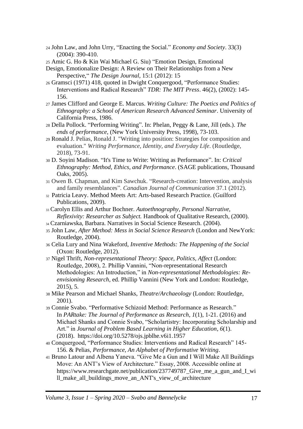<sup>24</sup> John Law, and John Urry, "Enacting the Social." *Economy and Society*. 33(3) (2004): 390-410.

- Design, Emotionalize Design: A Review on Their Relationships from a New Perspective," *The Design Journal,* 15:1 (2012): 15
- <sup>26</sup> Gramsci (1971) 418, quoted in Dwight Conquergood, "Performance Studies: Interventions and Radical Research" *TDR: The MIT Press*. 46(2), (2002): 145- 156.
- <sup>27</sup> James Clifford and George E. Marcus. *Writing Culture: The Poetics and Politics of Ethnography: a School of American Research Advanced Seminar*. University of California Press, 1986.
- <sup>28</sup> Della Pollock. "Performing Writing". In: Phelan, Peggy & Lane, Jill (eds.). *The ends of performance,* (New York University Press, 1998), 73-103.
- <sup>29</sup> Ronald J. Pelias, Ronald J. "Writing into position: Strategies for composition and evaluation." *Writing Performance, Identity, and Everyday Life*. (Routledge, 2018), 73-91.
- <sup>30</sup> D. Soyini Madison. "It's Time to Write: Writing as Performance". In: *Critical Ethnography: Method, Ethics, and Performance*. (SAGE publications, Thousand Oaks, 2005).
- <sup>31</sup> Owen B. Chapman, and Kim Sawchuk. "Research-creation: Intervention, analysis and family resemblances". *Canadian Journal of Communication* 37.1 (2012).
- <sup>32</sup> Patricia Leavy. Method Meets Art: Arts-based Research Practice. (Guilford Publications, 2009).
- <sup>33</sup> Carolyn Ellis and Arthur Bochner. *Autoethnography, Personal Narrative, Reflexivity: Researcher as Subject.* Handbook of Qualitative Research, (2000).
- <sup>34</sup> Czarniawska, Barbara. Narratives in Social Science Research. (2004).
- <sup>35</sup> John Law, *After Method: Mess in Social Science Research* (London and NewYork: Routledge, 2004).
- <sup>36</sup> Celia Lury and Nina Wakeford, *Inventive Methods: The Happening of the Social* (Oxon: Routledge, 2012).
- <sup>37</sup> Nigel Thrift, *Non-representational Theory: Space, Politics, Affect* (London: Routledge, 2008), 2. Phillip Vannini, "Non-representational Research Methodologies: An Introduction," in *Non-representational Methodologies: Reenvisioning Research*, ed. Phillip Vannini (New York and London: Routledge, 2015), 5.
- <sup>38</sup> Mike Pearson and Michael Shanks, *Theatre/Archaeology* (London: Routledge, 2001).
- <sup>39</sup> Connie Svabo. "Performative Schizoid Method: Performance as Research." In *PARtake: The Journal of Performance as Research*, *1*(1), 1-21. (2016) and Michael Shanks and Connie Svabo, "Scholartistry: Incorporating Scholarship and Art." in *Journal of Problem Based Learning in Higher Education*, *6*(1). (2018). https://doi.org/10.5278/ojs.jpblhe.v6i1.1957
- <sup>40</sup> Conquergood, "Performance Studies: Interventions and Radical Research" 145- 156. & Pelias, *Performance, An Alphabet of Performative Writing*.
- <sup>41</sup> Bruno Latour and Albena Yaneva. "Give Me a Gun and I Will Make All Buildings Move: An ANT's View of Architecture." Essay, 2008. Accessible online at https://www.researchgate.net/publication/237749787 Give me a gun and I wi ll\_make\_all\_buildings\_move\_an\_ANT's\_view\_of\_architecture

<sup>25</sup> Amic G. Ho & Kin Wai Michael G. Siu) "Emotion Design, Emotional